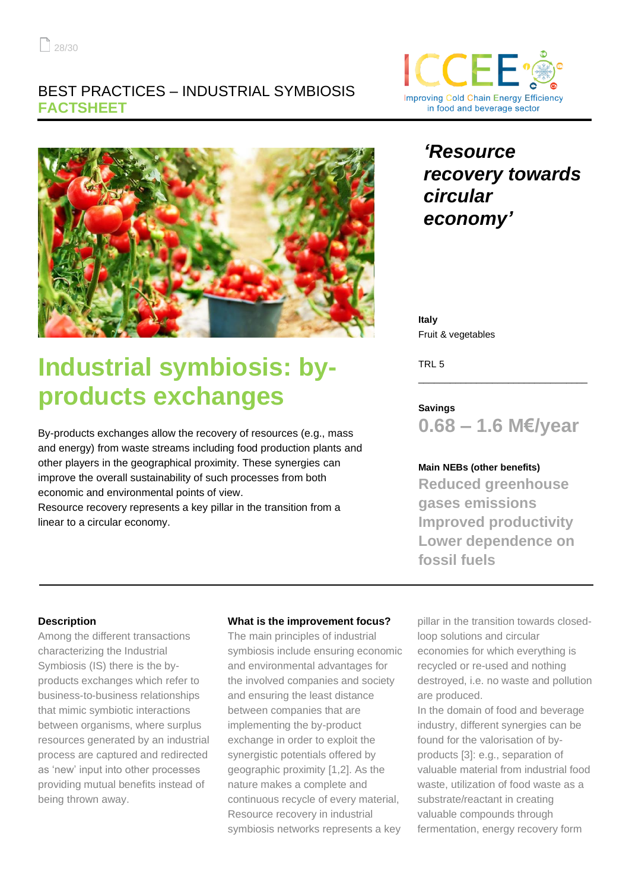### BEST PRACTICES – INDUSTRIAL SYMBIOSIS **FACTSHEET**



# **Industrial symbiosis: byproducts exchanges**

By-products exchanges allow the recovery of resources (e.g., mass and energy) from waste streams including food production plants and other players in the geographical proximity. These synergies can improve the overall sustainability of such processes from both economic and environmental points of view.

Resource recovery represents a key pillar in the transition from a linear to a circular economy.



## *'Resource recovery towards circular economy'*

**Italy** Fruit & vegetables

TRL 5

### **Savings**

**0.68 – 1.6 M€/year**

\_\_\_\_\_\_\_\_\_\_\_\_\_\_\_\_\_\_\_\_\_\_\_\_\_\_\_\_\_\_\_\_

### **Main NEBs (other benefits)**

**Reduced greenhouse gases emissions Improved productivity Lower dependence on fossil fuels**

### **Description**

Among the different transactions characterizing the Industrial Symbiosis (IS) there is the byproducts exchanges which refer to business-to-business relationships that mimic symbiotic interactions between organisms, where surplus resources generated by an industrial process are captured and redirected as 'new' input into other processes providing mutual benefits instead of being thrown away.

### **What is the improvement focus?**

The main principles of industrial symbiosis include ensuring economic and environmental advantages for the involved companies and society and ensuring the least distance between companies that are implementing the by-product exchange in order to exploit the synergistic potentials offered by geographic proximity [1,2]. As the nature makes a complete and continuous recycle of every material, Resource recovery in industrial symbiosis networks represents a key

pillar in the transition towards closedloop solutions and circular economies for which everything is recycled or re-used and nothing destroyed, i.e. no waste and pollution are produced.

In the domain of food and beverage industry, different synergies can be found for the valorisation of byproducts [3]: e.g., separation of valuable material from industrial food waste, utilization of food waste as a substrate/reactant in creating valuable compounds through fermentation, energy recovery form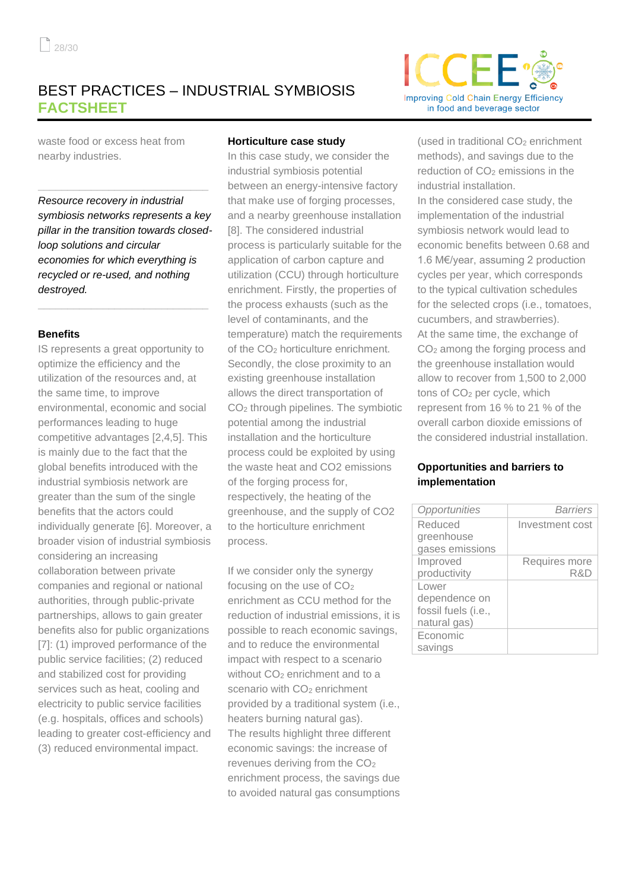### BEST PRACTICES – INDUSTRIAL SYMBIOSIS **FACTSHEET**

waste food or excess heat from nearby industries.

*Resource recovery in industrial symbiosis networks represents a key pillar in the transition towards closedloop solutions and circular economies for which everything is recycled or re-used, and nothing destroyed.*

**\_\_\_\_\_\_\_\_\_\_\_\_\_\_\_\_\_\_\_\_\_\_\_\_\_\_\_\_\_**

**\_\_\_\_\_\_\_\_\_\_\_\_\_\_\_\_\_\_\_\_\_\_\_\_\_\_\_\_\_**

#### **Benefits**

IS represents a great opportunity to optimize the efficiency and the utilization of the resources and, at the same time, to improve environmental, economic and social performances leading to huge competitive advantages [2,4,5]. This is mainly due to the fact that the global benefits introduced with the industrial symbiosis network are greater than the sum of the single benefits that the actors could individually generate [6]. Moreover, a broader vision of industrial symbiosis considering an increasing collaboration between private companies and regional or national authorities, through public-private partnerships, allows to gain greater benefits also for public organizations [7]: (1) improved performance of the public service facilities; (2) reduced and stabilized cost for providing services such as heat, cooling and electricity to public service facilities (e.g. hospitals, offices and schools) leading to greater cost-efficiency and (3) reduced environmental impact.

#### **Horticulture case study**

In this case study, we consider the industrial symbiosis potential between an energy-intensive factory that make use of forging processes, and a nearby greenhouse installation [8]. The considered industrial process is particularly suitable for the application of carbon capture and utilization (CCU) through horticulture enrichment. Firstly, the properties of the process exhausts (such as the level of contaminants, and the temperature) match the requirements of the CO<sup>2</sup> horticulture enrichment. Secondly, the close proximity to an existing greenhouse installation allows the direct transportation of CO<sup>2</sup> through pipelines. The symbiotic potential among the industrial installation and the horticulture process could be exploited by using the waste heat and CO2 emissions of the forging process for, respectively, the heating of the greenhouse, and the supply of CO2 to the horticulture enrichment process.

If we consider only the synergy focusing on the use of  $CO<sub>2</sub>$ enrichment as CCU method for the reduction of industrial emissions, it is possible to reach economic savings, and to reduce the environmental impact with respect to a scenario without CO<sub>2</sub> enrichment and to a scenario with CO<sub>2</sub> enrichment provided by a traditional system (i.e., heaters burning natural gas). The results highlight three different economic savings: the increase of revenues deriving from the CO<sup>2</sup> enrichment process, the savings due to avoided natural gas consumptions



(used in traditional CO<sub>2</sub> enrichment methods), and savings due to the reduction of  $CO<sub>2</sub>$  emissions in the industrial installation.

In the considered case study, the implementation of the industrial symbiosis network would lead to economic benefits between 0.68 and 1.6 M€/year, assuming 2 production cycles per year, which corresponds to the typical cultivation schedules for the selected crops (i.e., tomatoes, cucumbers, and strawberries). At the same time, the exchange of CO<sup>2</sup> among the forging process and the greenhouse installation would allow to recover from 1,500 to 2,000 tons of CO<sub>2</sub> per cycle, which represent from 16 % to 21 % of the overall carbon dioxide emissions of the considered industrial installation.

#### **Opportunities and barriers to implementation**

| Opportunities       | <b>Barriers</b> |
|---------------------|-----------------|
| Reduced             | Investment cost |
| greenhouse          |                 |
| gases emissions     |                 |
| Improved            | Requires more   |
| productivity        | R&D             |
| Lower               |                 |
| dependence on       |                 |
| fossil fuels (i.e., |                 |
| natural gas)        |                 |
| Economic            |                 |
| savings             |                 |